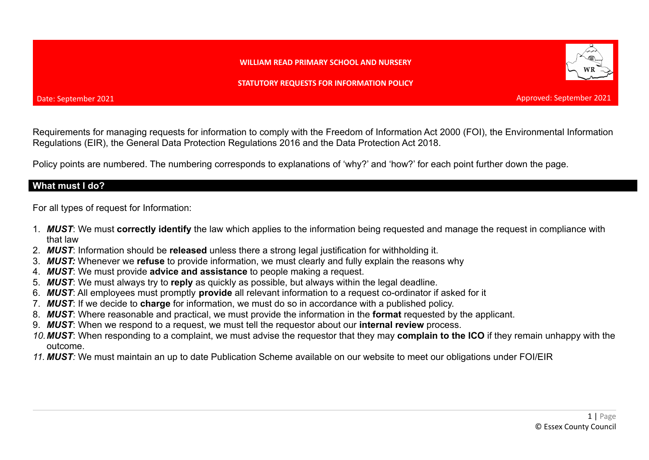#### **WILLIAM READ PRIMARY SCHOOL AND NURSERY**

**STATUTORY REQUESTS FOR INFORMATION POLICY**

Requirements for managing requests for information to comply with the Freedom of Information Act 2000 (FOI), the Environmental Information Regulations (EIR), the General Data Protection Regulations 2016 and the Data Protection Act 2018.

Policy points are numbered. The numbering corresponds to explanations of 'why?' and 'how?' for each point further down the page.

### **What must I do?**

For all types of request for Information:

- 1. *MUST*: We must **correctly identify** the law which applies to the information being requested and manage the request in compliance with that law
- 2. *MUST*: Information should be **released** unless there a strong legal justification for withholding it.
- 3. *MUST:* Whenever we **refuse** to provide information, we must clearly and fully explain the reasons why
- 4. *MUST*: We must provide **advice and assistance** to people making a request.
- 5. *MUST*: We must always try to **reply** as quickly as possible, but always within the legal deadline.
- 6. *MUST*: All employees must promptly **provide** all relevant information to a request co-ordinator if asked for it
- 7. *MUST*: If we decide to **charge** for information, we must do so in accordance with a published policy.
- 8. *MUST*: Where reasonable and practical, we must provide the information in the **format** requested by the applicant.
- 9. *MUST*: When we respond to a request, we must tell the requestor about our **internal review** process.
- *10.MUST*: When responding to a complaint, we must advise the requestor that they may **complain to the ICO** if they remain unhappy with the outcome.
- *11. MUST:* We must maintain an up to date Publication Scheme available on our website to meet our obligations under FOI/EIR



Approved: September 2021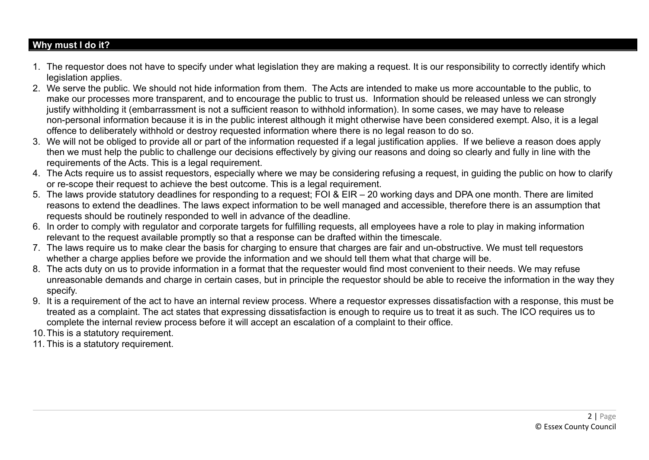## **Why must I do it?**

- 1. The requestor does not have to specify under what legislation they are making a request. It is our responsibility to correctly identify which legislation applies.
- 2. We serve the public. We should not hide information from them. The Acts are intended to make us more accountable to the public, to make our processes more transparent, and to encourage the public to trust us. Information should be released unless we can strongly justify withholding it (embarrassment is not a sufficient reason to withhold information). In some cases, we may have to release non-personal information because it is in the public interest although it might otherwise have been considered exempt. Also, it is a legal offence to deliberately withhold or destroy requested information where there is no legal reason to do so.
- 3. We will not be obliged to provide all or part of the information requested if a legal justification applies. If we believe a reason does apply then we must help the public to challenge our decisions effectively by giving our reasons and doing so clearly and fully in line with the requirements of the Acts. This is a legal requirement.
- 4. The Acts require us to assist requestors, especially where we may be considering refusing a request, in guiding the public on how to clarify or re-scope their request to achieve the best outcome. This is a legal requirement.
- 5. The laws provide statutory deadlines for responding to a request; FOI & EIR 20 working days and DPA one month. There are limited reasons to extend the deadlines. The laws expect information to be well managed and accessible, therefore there is an assumption that requests should be routinely responded to well in advance of the deadline.
- 6. In order to comply with regulator and corporate targets for fulfilling requests, all employees have a role to play in making information relevant to the request available promptly so that a response can be drafted within the timescale.
- 7. The laws require us to make clear the basis for charging to ensure that charges are fair and un-obstructive. We must tell requestors whether a charge applies before we provide the information and we should tell them what that charge will be.
- 8. The acts duty on us to provide information in a format that the requester would find most convenient to their needs. We may refuse unreasonable demands and charge in certain cases, but in principle the requestor should be able to receive the information in the way they specify.
- 9. It is a requirement of the act to have an internal review process. Where a requestor expresses dissatisfaction with a response, this must be treated as a complaint. The act states that expressing dissatisfaction is enough to require us to treat it as such. The ICO requires us to complete the internal review process before it will accept an escalation of a complaint to their office.
- 10.This is a statutory requirement.
- 11. This is a statutory requirement.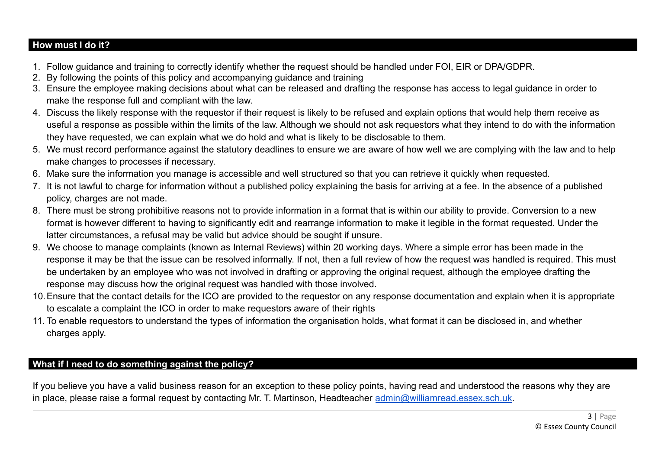## **How must I do it?**

- 1. Follow guidance and training to correctly identify whether the request should be handled under FOI, EIR or DPA/GDPR.
- 2. By following the points of this policy and accompanying guidance and training
- 3. Ensure the employee making decisions about what can be released and drafting the response has access to legal guidance in order to make the response full and compliant with the law.
- 4. Discuss the likely response with the requestor if their request is likely to be refused and explain options that would help them receive as useful a response as possible within the limits of the law. Although we should not ask requestors what they intend to do with the information they have requested, we can explain what we do hold and what is likely to be disclosable to them.
- 5. We must record performance against the statutory deadlines to ensure we are aware of how well we are complying with the law and to help make changes to processes if necessary.
- 6. Make sure the information you manage is accessible and well structured so that you can retrieve it quickly when requested.
- 7. It is not lawful to charge for information without a published policy explaining the basis for arriving at a fee. In the absence of a published policy, charges are not made.
- 8. There must be strong prohibitive reasons not to provide information in a format that is within our ability to provide. Conversion to a new format is however different to having to significantly edit and rearrange information to make it legible in the format requested. Under the latter circumstances, a refusal may be valid but advice should be sought if unsure.
- 9. We choose to manage complaints (known as Internal Reviews) within 20 working days. Where a simple error has been made in the response it may be that the issue can be resolved informally. If not, then a full review of how the request was handled is required. This must be undertaken by an employee who was not involved in drafting or approving the original request, although the employee drafting the response may discuss how the original request was handled with those involved.
- 10.Ensure that the contact details for the ICO are provided to the requestor on any response documentation and explain when it is appropriate to escalate a complaint the ICO in order to make requestors aware of their rights
- 11. To enable requestors to understand the types of information the organisation holds, what format it can be disclosed in, and whether charges apply.

# **What if I need to do something against the policy?**

If you believe you have a valid business reason for an exception to these policy points, having read and understood the reasons why they are in place, please raise a formal request by contacting Mr. T. Martinson, Headteacher [admin@williamread.essex.sch.uk](mailto:admin@williamread.essex.sch.uk).